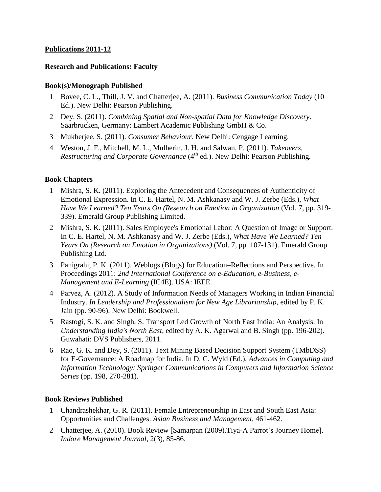# **Publications 2011-12**

### **Research and Publications: Faculty**

### **Book(s)/Monograph Published**

- 1 Bovee, C. L., Thill, J. V. and Chatterjee, A. (2011). *Business Communication Today* (10 Ed.). New Delhi: Pearson Publishing.
- 2 Dey, S. (2011). *Combining Spatial and Non-spatial Data for Knowledge Discovery*. Saarbrucken, Germany: Lambert Academic Publishing GmbH & Co.
- 3 Mukherjee, S. (2011). *Consumer Behaviour*. New Delhi: Cengage Learning.
- 4 Weston, J. F., Mitchell, M. L., Mulherin, J. H. and Salwan, P. (2011). *Takeovers, Restructuring and Corporate Governance* (4<sup>th</sup> ed.). New Delhi: Pearson Publishing.

# **Book Chapters**

- 1 Mishra, S. K. (2011). Exploring the Antecedent and Consequences of Authenticity of Emotional Expression. In C. E. Hartel, N. M. Ashkanasy and W. J. Zerbe (Eds.), *What Have We Learned? Ten Years On (Research on Emotion in Organization* (Vol. 7, pp. 319- 339). Emerald Group Publishing Limited.
- 2 Mishra, S. K. (2011). Sales Employee's Emotional Labor: A Question of Image or Support. In C. E. Hartel, N. M. Ashkanasy and W. J. Zerbe (Eds.), *What Have We Learned? Ten Years On (Research on Emotion in Organizations)* (Vol. 7, pp. 107-131). Emerald Group Publishing Ltd.
- 3 Panigrahi, P. K. (2011). Weblogs (Blogs) for Education–Reflections and Perspective. In Proceedings 2011: *2nd International Conference on e-Education, e-Business, e-Management and E-Learning* (IC4E). USA: IEEE.
- 4 Parvez, A. (2012). A Study of Information Needs of Managers Working in Indian Financial Industry. *In Leadership and Professionalism for New Age Librarianship*, edited by P. K. Jain (pp. 90-96). New Delhi: Bookwell.
- 5 Rastogi, S. K. and Singh, S. Transport Led Growth of North East India: An Analysis. In *Understanding India's North East*, edited by A. K. Agarwal and B. Singh (pp. 196-202). Guwahati: DVS Publishers, 2011.
- 6 Rao, G. K. and Dey, S. (2011). Text Mining Based Decision Support System (TMbDSS) for E-Governance: A Roadmap for India. In D. C. Wyld (Ed.), *Advances in Computing and Information Technology: Springer Communications in Computers and Information Science Series* (pp. 198, 270-281).

# **Book Reviews Published**

- 1 Chandrashekhar, G. R. (2011). Female Entrepreneurship in East and South East Asia: Opportunities and Challenges. *Asian Business and Management*, 461-462.
- 2 Chatterjee, A. (2010). Book Review [Samarpan (2009).Tiya-A Parrot's Journey Home]. *Indore Management Journal*, 2(3), 85-86.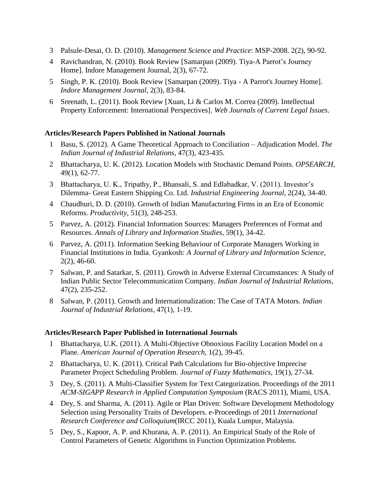- 3 Palsule-Desai, O. D. (2010). *Management Science and Practice*: MSP-2008. 2(2), 90-92.
- 4 Ravichandran, N. (2010). Book Review [Samarpan (2009). Tiya-A Parrot's Journey Home]. Indore Management Journal, 2(3), 67-72.
- 5 Singh, P. K. (2010). Book Review [Samarpan (2009). Tiya A Parrot's Journey Home]. *Indore Management Journal*, 2(3), 83-84.
- 6 Sreenath, L. (2011). Book Review [Xuan, Li & Carlos M. Correa (2009). Intellectual Property Enforcement: International Perspectives]. *Web Journals of Current Legal Issues*.

### **Articles/Research Papers Published in National Journals**

- 1 Basu, S. (2012). A Game Theoretical Approach to Conciliation Adjudication Model. *The Indian Journal of Industrial Relations*, 47(3), 423-435.
- 2 Bhattacharya, U. K. (2012). Location Models with Stochastic Demand Points. *OPSEARCH*, 49(1), 62-77.
- 3 Bhattacharya, U. K., Tripathy, P., Bhansali, S. and Edlabadkar, V. (2011). Investor's Dilemma- Great Eastern Shipping Co. Ltd. *Industrial Engineering Journal*, 2(24), 34-40.
- 4 Chaudhuri, D. D. (2010). Growth of Indian Manufacturing Firms in an Era of Economic Reforms. *Productivity*, 51(3), 248-253.
- 5 Parvez, A. (2012). Financial Information Sources: Managers Preferences of Format and Resources. *Annals of Library and Information Studies*, 59(1), 34-42.
- 6 Parvez, A. (2011). Information Seeking Behaviour of Corporate Managers Working in Financial Institutions in India. Gyankosh: *A Journal of Library and Information Science*, 2(2), 46-60.
- 7 Salwan, P. and Satarkar, S. (2011). Growth in Adverse External Circumstances: A Study of Indian Public Sector Telecommunication Company. *Indian Journal of Industrial Relations*, 47(2), 235-252.
- 8 Salwan, P. (2011). Growth and Internationalization: The Case of TATA Motors*. Indian Journal of Industrial Relations*, 47(1), 1-19.

#### **Articles/Research Paper Published in International Journals**

- 1 Bhattacharya, U.K. (2011). A Multi-Objective Obnoxious Facility Location Model on a Plane. *American Journal of Operation Research*, 1(2), 39-45.
- 2 Bhattacharya, U. K. (2011). Critical Path Calculations for Bio-objective Imprecise Parameter Project Scheduling Problem. *Journal of Fuzzy Mathematics*, 19(1), 27-34.
- 3 Dey, S. (2011). A Multi-Classifier System for Text Categorization. Proceedings of the 2011 *ACM-SIGAPP Research in Applied Computation Symposium* (RACS 2011), Miami, USA.
- 4 Dey, S. and Sharma, A. (2011). Agile or Plan Driven: Software Development Methodology Selection using Personality Traits of Developers. e-Proceedings of 2011 *International Research Conference and Colloquium*(IRCC 2011), Kuala Lumpur, Malaysia.
- 5 Dey, S., Kapoor, A. P. and Khurana, A. P. (2011). An Empirical Study of the Role of Control Parameters of Genetic Algorithms in Function Optimization Problems.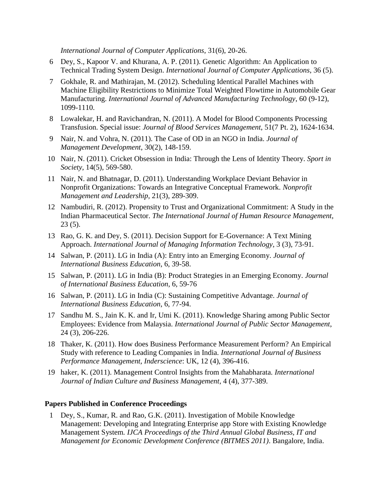*International Journal of Computer Applications*, 31(6), 20-26.

- 6 Dey, S., Kapoor V. and Khurana, A. P. (2011). Genetic Algorithm: An Application to Technical Trading System Design. *International Journal of Computer Applications*, 36 (5).
- 7 Gokhale, R. and Mathirajan, M. (2012). Scheduling Identical Parallel Machines with Machine Eligibility Restrictions to Minimize Total Weighted Flowtime in Automobile Gear Manufacturing. *International Journal of Advanced Manufacturing Technology*, 60 (9-12), 1099-1110.
- 8 Lowalekar, H. and Ravichandran, N. (2011). A Model for Blood Components Processing Transfusion. Special issue: *Journal of Blood Services Management*, 51(7 Pt. 2), 1624-1634.
- 9 Nair, N. and Vohra, N. (2011). The Case of OD in an NGO in India. *Journal of Management Development*, 30(2), 148-159.
- 10 Nair, N. (2011). Cricket Obsession in India: Through the Lens of Identity Theory. *Sport in Society*, 14(5), 569-580.
- 11 Nair, N. and Bhatnagar, D. (2011). Understanding Workplace Deviant Behavior in Nonprofit Organizations: Towards an Integrative Conceptual Framework. *Nonprofit Management and Leadership*, 21(3), 289-309.
- 12 Nambudiri, R. (2012). Propensity to Trust and Organizational Commitment: A Study in the Indian Pharmaceutical Sector. *The International Journal of Human Resource Management*, 23 (5).
- 13 Rao, G. K. and Dey, S. (2011). Decision Support for E-Governance: A Text Mining Approach. *International Journal of Managing Information Technology*, 3 (3), 73-91.
- 14 Salwan, P. (2011). LG in India (A): Entry into an Emerging Economy. *Journal of International Business Education*, 6, 39-58.
- 15 Salwan, P. (2011). LG in India (B): Product Strategies in an Emerging Economy. *Journal of International Business Education*, 6, 59-76
- 16 Salwan, P. (2011). LG in India (C): Sustaining Competitive Advantage. *Journal of International Business Education*, 6, 77-94.
- 17 Sandhu M. S., Jain K. K. and Ir, Umi K. (2011). Knowledge Sharing among Public Sector Employees: Evidence from Malaysia. *International Journal of Public Sector Management*, 24 (3), 206-226.
- 18 Thaker, K. (2011). How does Business Performance Measurement Perform? An Empirical Study with reference to Leading Companies in India*. International Journal of Business Performance Management, Inderscience*: UK, 12 (4), 396-416.
- 19 haker, K. (2011). Management Control Insights from the Mahabharata*. International Journal of Indian Culture and Business Management*, 4 (4), 377-389.

#### **Papers Published in Conference Proceedings**

1 Dey, S., Kumar, R. and Rao, G.K. (2011). Investigation of Mobile Knowledge Management: Developing and Integrating Enterprise app Store with Existing Knowledge Management System*. IJCA Proceedings of the Third Annual Global Business, IT and Management for Economic Development Conference (BITMES 2011)*. Bangalore, India.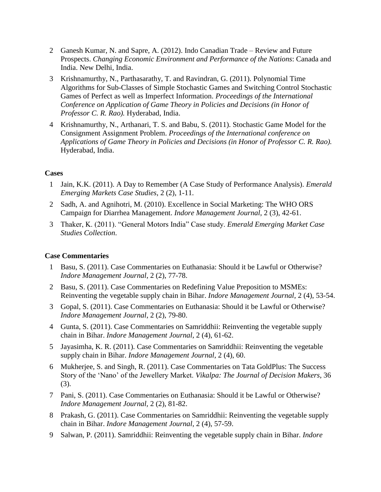- 2 Ganesh Kumar, N. and Sapre, A. (2012). Indo Canadian Trade Review and Future Prospects. *Changing Economic Environment and Performance of the Nations*: Canada and India. New Delhi, India.
- 3 Krishnamurthy, N., Parthasarathy, T. and Ravindran, G. (2011). Polynomial Time Algorithms for Sub-Classes of Simple Stochastic Games and Switching Control Stochastic Games of Perfect as well as Imperfect Information. *Proceedings of the International Conference on Application of Game Theory in Policies and Decisions (in Honor of Professor C. R. Rao).* Hyderabad, India.
- 4 Krishnamurthy, N., Arthanari, T. S. and Babu, S. (2011). Stochastic Game Model for the Consignment Assignment Problem. *Proceedings of the International conference on Applications of Game Theory in Policies and Decisions (in Honor of Professor C. R. Rao).* Hyderabad, India.

# **Cases**

- 1 Jain, K.K. (2011). A Day to Remember (A Case Study of Performance Analysis). *Emerald Emerging Markets Case Studies*, 2 (2), 1-11.
- 2 Sadh, A. and Agnihotri, M. (2010). Excellence in Social Marketing: The WHO ORS Campaign for Diarrhea Management. *Indore Management Journal*, 2 (3), 42-61.
- 3 Thaker, K. (2011). "General Motors India" Case study. *Emerald Emerging Market Case Studies Collection*.

### **Case Commentaries**

- 1 Basu, S. (2011). Case Commentaries on Euthanasia: Should it be Lawful or Otherwise? *Indore Management Journal*, 2 (2), 77-78.
- 2 Basu, S. (2011). Case Commentaries on Redefining Value Preposition to MSMEs: Reinventing the vegetable supply chain in Bihar. *Indore Management Journal*, 2 (4), 53-54.
- 3 Gopal, S. (2011). Case Commentaries on Euthanasia: Should it be Lawful or Otherwise? *Indore Management Journal*, 2 (2), 79-80.
- 4 Gunta, S. (2011). Case Commentaries on Samriddhii: Reinventing the vegetable supply chain in Bihar. *Indore Management Journal*, 2 (4), 61-62.
- 5 Jayasimha, K. R. (2011). Case Commentaries on Samriddhii: Reinventing the vegetable supply chain in Bihar. *Indore Management Journal*, 2 (4), 60.
- 6 Mukherjee, S. and Singh, R. (2011). Case Commentaries on Tata GoldPlus: The Success Story of the 'Nano' of the Jewellery Market. *Vikalpa: The Journal of Decision Makers*, 36 (3).
- 7 Pani, S. (2011). Case Commentaries on Euthanasia: Should it be Lawful or Otherwise? *Indore Management Journal,* 2 (2), 81-82.
- 8 Prakash, G. (2011). Case Commentaries on Samriddhii: Reinventing the vegetable supply chain in Bihar. *Indore Management Journal*, 2 (4), 57-59.
- 9 Salwan, P. (2011). Samriddhii: Reinventing the vegetable supply chain in Bihar. *Indore*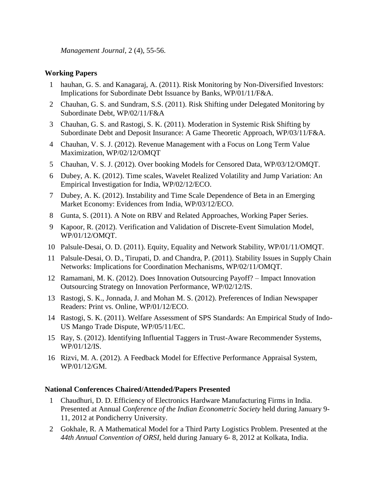*Management Journal*, 2 (4), 55-56.

# **Working Papers**

- 1 hauhan, G. S. and Kanagaraj, A. (2011). Risk Monitoring by Non-Diversified Investors: Implications for Subordinate Debt Issuance by Banks, WP/01/11/F&A.
- 2 Chauhan, G. S. and Sundram, S.S. (2011). Risk Shifting under Delegated Monitoring by Subordinate Debt, WP/02/11/F&A
- 3 Chauhan, G. S. and Rastogi, S. K. (2011). Moderation in Systemic Risk Shifting by Subordinate Debt and Deposit Insurance: A Game Theoretic Approach, WP/03/11/F&A.
- 4 Chauhan, V. S. J. (2012). Revenue Management with a Focus on Long Term Value Maximization, WP/02/12/OMQT
- 5 Chauhan, V. S. J. (2012). Over booking Models for Censored Data, WP/03/12/OMQT.
- 6 Dubey, A. K. (2012). Time scales, Wavelet Realized Volatility and Jump Variation: An Empirical Investigation for India, WP/02/12/ECO.
- 7 Dubey, A. K. (2012). Instability and Time Scale Dependence of Beta in an Emerging Market Economy: Evidences from India, WP/03/12/ECO.
- 8 Gunta, S. (2011). A Note on RBV and Related Approaches, Working Paper Series.
- 9 Kapoor, R. (2012). Verification and Validation of Discrete-Event Simulation Model, WP/01/12/OMQT.
- 10 Palsule-Desai, O. D. (2011). Equity, Equality and Network Stability, WP/01/11/OMQT.
- 11 Palsule-Desai, O. D., Tirupati, D. and Chandra, P. (2011). Stability Issues in Supply Chain Networks: Implications for Coordination Mechanisms, WP/02/11/OMQT.
- 12 Ramamani, M. K. (2012). Does Innovation Outsourcing Payoff? Impact Innovation Outsourcing Strategy on Innovation Performance, WP/02/12/IS.
- 13 Rastogi, S. K., Jonnada, J. and Mohan M. S. (2012). Preferences of Indian Newspaper Readers: Print vs. Online, WP/01/12/ECO.
- 14 Rastogi, S. K. (2011). Welfare Assessment of SPS Standards: An Empirical Study of Indo-US Mango Trade Dispute, WP/05/11/EC.
- 15 Ray, S. (2012). Identifying Influential Taggers in Trust-Aware Recommender Systems, WP/01/12/IS.
- 16 Rizvi, M. A. (2012). A Feedback Model for Effective Performance Appraisal System, WP/01/12/GM.

# **National Conferences Chaired/Attended/Papers Presented**

- 1 Chaudhuri, D. D. Efficiency of Electronics Hardware Manufacturing Firms in India. Presented at Annual *Conference of the Indian Econometric Society* held during January 9- 11, 2012 at Pondicherry University.
- 2 Gokhale, R. A Mathematical Model for a Third Party Logistics Problem. Presented at the *44th Annual Convention of ORSI*, held during January 6- 8, 2012 at Kolkata, India.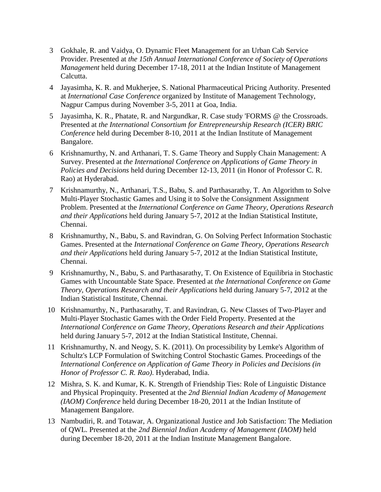- 3 Gokhale, R. and Vaidya, O. Dynamic Fleet Management for an Urban Cab Service Provider. Presented at *the 15th Annual International Conference of Society of Operations Management* held during December 17-18, 2011 at the Indian Institute of Management Calcutta.
- 4 Jayasimha, K. R. and Mukherjee, S. National Pharmaceutical Pricing Authority. Presented at *International Case Conference* organized by Institute of Management Technology, Nagpur Campus during November 3-5, 2011 at Goa, India.
- 5 Jayasimha, K. R., Phatate, R. and Nargundkar, R. Case study 'FORMS @ the Crossroads. Presented at *the International Consortium for Entrepreneurship Research (ICER) BRIC Conference* held during December 8-10, 2011 at the Indian Institute of Management Bangalore.
- 6 Krishnamurthy, N. and Arthanari, T. S. Game Theory and Supply Chain Management: A Survey. Presented at *the International Conference on Applications of Game Theory in Policies and Decisions* held during December 12-13, 2011 (in Honor of Professor C. R. Rao) at Hyderabad.
- 7 Krishnamurthy, N., Arthanari, T.S., Babu, S. and Parthasarathy, T. An Algorithm to Solve Multi-Player Stochastic Games and Using it to Solve the Consignment Assignment Problem. Presented at the *International Conference on Game Theory, Operations Research and their Applications* held during January 5-7, 2012 at the Indian Statistical Institute, Chennai.
- 8 Krishnamurthy, N., Babu, S. and Ravindran, G. On Solving Perfect Information Stochastic Games. Presented at the *International Conference on Game Theory, Operations Research and their Applications* held during January 5-7, 2012 at the Indian Statistical Institute, Chennai.
- 9 Krishnamurthy, N., Babu, S. and Parthasarathy, T. On Existence of Equilibria in Stochastic Games with Uncountable State Space. Presented at *the International Conference on Game Theory, Operations Research and their Applications* held during January 5-7, 2012 at the Indian Statistical Institute, Chennai.
- 10 Krishnamurthy, N., Parthasarathy, T. and Ravindran, G. New Classes of Two-Player and Multi-Player Stochastic Games with the Order Field Property. Presented at the *International Conference on Game Theory, Operations Research and their Applications* held during January 5-7, 2012 at the Indian Statistical Institute, Chennai.
- 11 Krishnamurthy, N. and Neogy, S. K. (2011). On processibility by Lemke's Algorithm of Schultz's LCP Formulation of Switching Control Stochastic Games. Proceedings of the *International Conference on Application of Game Theory in Policies and Decisions (in Honor of Professor C. R. Rao)*. Hyderabad, India.
- 12 Mishra, S. K. and Kumar, K. K. Strength of Friendship Ties: Role of Linguistic Distance and Physical Propinquity. Presented at the *2nd Biennial Indian Academy of Management (IAOM) Conference* held during December 18-20, 2011 at the Indian Institute of Management Bangalore.
- 13 Nambudiri, R. and Totawar, A. Organizational Justice and Job Satisfaction: The Mediation of QWL. Presented at the *2nd Biennial Indian Academy of Management (IAOM)* held during December 18-20, 2011 at the Indian Institute Management Bangalore.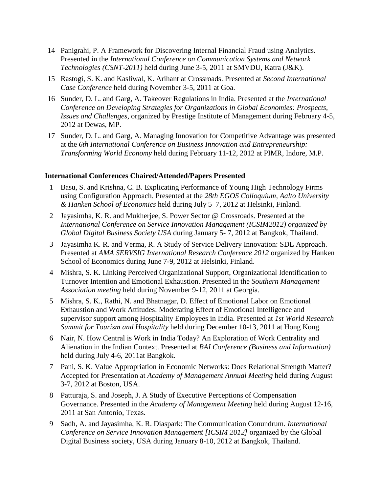- 14 Panigrahi, P. A Framework for Discovering Internal Financial Fraud using Analytics. Presented in the *International Conference on Communication Systems and Network Technologies (CSNT-2011)* held during June 3-5, 2011 at SMVDU, Katra (J&K).
- 15 Rastogi, S. K. and Kasliwal, K. Arihant at Crossroads. Presented at *Second International Case Conference* held during November 3-5, 2011 at Goa.
- 16 Sunder, D. L. and Garg, A. Takeover Regulations in India. Presented at the *International Conference on Developing Strategies for Organizations in Global Economies: Prospects, Issues and Challenges*, organized by Prestige Institute of Management during February 4-5, 2012 at Dewas, MP.
- 17 Sunder, D. L. and Garg, A. Managing Innovation for Competitive Advantage was presented at the *6th International Conference on Business Innovation and Entrepreneurship: Transforming World Economy* held during February 11-12, 2012 at PIMR, Indore, M.P.

### **International Conferences Chaired/Attended/Papers Presented**

- 1 Basu, S. and Krishna, C. B. Explicating Performance of Young High Technology Firms using Configuration Approach. Presented at the *28th EGOS Colloquium, Aalto University & Hanken School of Economics* held during July 5–7, 2012 at Helsinki, Finland.
- 2 Jayasimha, K. R. and Mukherjee, S. Power Sector @ Crossroads. Presented at the *International Conference on Service Innovation Management (ICSIM2012) organized by Global Digital Business Society USA* during January 5- 7, 2012 at Bangkok, Thailand.
- 3 Jayasimha K. R. and Verma, R. A Study of Service Delivery Innovation: SDL Approach. Presented at *AMA SERVSIG International Research Conference 2012* organized by Hanken School of Economics during June 7-9, 2012 at Helsinki, Finland.
- 4 Mishra, S. K. Linking Perceived Organizational Support, Organizational Identification to Turnover Intention and Emotional Exhaustion. Presented in the *Southern Management Association meeting* held during November 9-12, 2011 at Georgia.
- 5 Mishra, S. K., Rathi, N. and Bhatnagar, D. Effect of Emotional Labor on Emotional Exhaustion and Work Attitudes: Moderating Effect of Emotional Intelligence and supervisor support among Hospitality Employees in India. Presented at *1st World Research Summit for Tourism and Hospitality* held during December 10-13, 2011 at Hong Kong.
- 6 Nair, N. How Central is Work in India Today? An Exploration of Work Centrality and Alienation in the Indian Context. Presented at *BAI Conference (Business and Information)* held during July 4-6, 2011at Bangkok.
- 7 Pani, S. K. Value Appropriation in Economic Networks: Does Relational Strength Matter? Accepted for Presentation at *Academy of Management Annual Meeting* held during August 3-7, 2012 at Boston, USA.
- 8 Patturaja, S. and Joseph, J. A Study of Executive Perceptions of Compensation Governance. Presented in the *Academy of Management Meeting* held during August 12-16, 2011 at San Antonio, Texas.
- 9 Sadh, A. and Jayasimha, K. R. Diaspark: The Communication Conundrum. *International Conference on Service Innovation Management [ICSIM 2012]* organized by the Global Digital Business society, USA during January 8-10, 2012 at Bangkok, Thailand.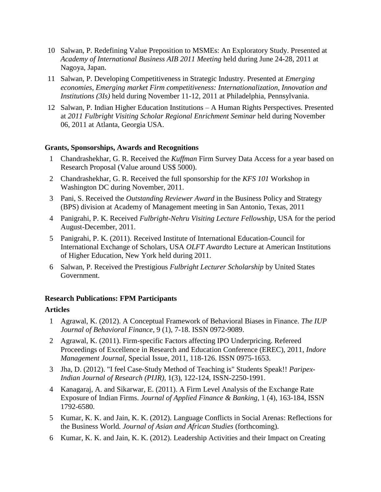- 10 Salwan, P. Redefining Value Preposition to MSMEs: An Exploratory Study. Presented at *Academy of International Business AIB 2011 Meeting* held during June 24-28, 2011 at Nagoya, Japan.
- 11 Salwan, P. Developing Competitiveness in Strategic Industry. Presented at *Emerging economies, Emerging market Firm competitiveness: Internationalization, Innovation and Institutions (3Is)* held during November 11-12, 2011 at Philadelphia, Pennsylvania.
- 12 Salwan, P. Indian Higher Education Institutions A Human Rights Perspectives. Presented at *2011 Fulbright Visiting Scholar Regional Enrichment Seminar* held during November 06, 2011 at Atlanta, Georgia USA.

### **Grants, Sponsorships, Awards and Recognitions**

- 1 Chandrashekhar, G. R. Received the *Kuffman* Firm Survey Data Access for a year based on Research Proposal (Value around US\$ 5000).
- 2 Chandrashekhar, G. R. Received the full sponsorship for the *KFS 101* Workshop in Washington DC during November, 2011.
- 3 Pani, S. Received the *Outstanding Reviewer Award* in the Business Policy and Strategy (BPS) division at Academy of Management meeting in San Antonio, Texas, 2011
- 4 Panigrahi, P. K. Received *Fulbright-Nehru Visiting Lecture Fellowship*, USA for the period August-December, 2011.
- 5 Panigrahi, P. K. (2011). Received Institute of International Education-Council for International Exchange of Scholars, USA *OLFT Awardto* Lecture at American Institutions of Higher Education, New York held during 2011.
- 6 Salwan, P. Received the Prestigious *Fulbright Lecturer Scholarship* by United States Government.

### **Research Publications: FPM Participants**

### **Articles**

- 1 Agrawal, K. (2012). A Conceptual Framework of Behavioral Biases in Finance. *The IUP Journal of Behavioral Finance*, 9 (1), 7-18. ISSN 0972-9089.
- 2 Agrawal, K. (2011). Firm-specific Factors affecting IPO Underpricing. Refereed Proceedings of Excellence in Research and Education Conference (EREC), 2011*, Indore Management Journal*, Special Issue, 2011, 118-126. ISSN 0975-1653.
- 3 Jha, D. (2012). "I feel Case-Study Method of Teaching is" Students Speak!! *Paripex-Indian Journal of Research (PIJR)*, 1(3), 122-124, ISSN-2250-1991.
- 4 Kanagaraj, A. and Sikarwar, E. (2011). A Firm Level Analysis of the Exchange Rate Exposure of Indian Firms. *Journal of Applied Finance & Banking*, 1 (4), 163-184, ISSN 1792-6580.
- 5 Kumar, K. K. and Jain, K. K. (2012). Language Conflicts in Social Arenas: Reflections for the Business World*. Journal of Asian and African Studies* (forthcoming).
- 6 Kumar, K. K. and Jain, K. K. (2012). Leadership Activities and their Impact on Creating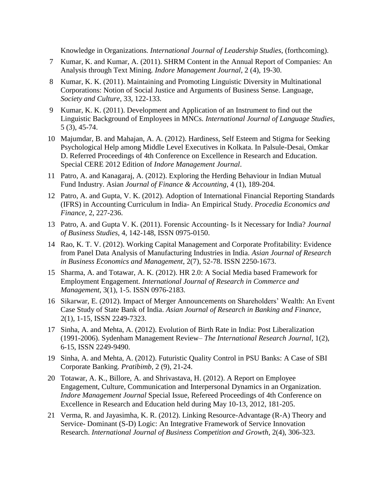Knowledge in Organizations*. International Journal of Leadership Studies*, (forthcoming).

- 7 Kumar, K. and Kumar, A. (2011). SHRM Content in the Annual Report of Companies: An Analysis through Text Mining*. Indore Management Journal*, 2 (4), 19-30.
- 8 Kumar, K. K. (2011). Maintaining and Promoting Linguistic Diversity in Multinational Corporations: Notion of Social Justice and Arguments of Business Sense. Language, *Society and Culture*, 33, 122-133.
- 9 Kumar, K. K. (2011). Development and Application of an Instrument to find out the Linguistic Background of Employees in MNCs. *International Journal of Language Studies*, 5 (3), 45-74.
- 10 Majumdar, B. and Mahajan, A. A. (2012). Hardiness, Self Esteem and Stigma for Seeking Psychological Help among Middle Level Executives in Kolkata. In Palsule-Desai, Omkar D. Referred Proceedings of 4th Conference on Excellence in Research and Education. Special CERE 2012 Edition of *Indore Management Journal*.
- 11 Patro, A. and Kanagaraj, A. (2012). Exploring the Herding Behaviour in Indian Mutual Fund Industry. Asian *Journal of Finance & Accounting*, 4 (1), 189-204.
- 12 Patro, A. and Gupta, V. K. (2012). Adoption of International Financial Reporting Standards (IFRS) in Accounting Curriculum in India- An Empirical Study. *Procedia Economics and Finance*, 2, 227-236.
- 13 Patro, A. and Gupta V. K. (2011). Forensic Accounting- Is it Necessary for India? *Journal of Business Studies*, 4, 142-148, ISSN 0975-0150.
- 14 Rao, K. T. V. (2012). Working Capital Management and Corporate Profitability: Evidence from Panel Data Analysis of Manufacturing Industries in India. *Asian Journal of Research in Business Economics and Management*, 2(7), 52-78. ISSN 2250-1673.
- 15 Sharma, A. and Totawar, A. K. (2012). HR 2.0: A Social Media based Framework for Employment Engagement. *International Journal of Research in Commerce and Management*, 3(1), 1-5. ISSN 0976-2183.
- 16 Sikarwar, E. (2012). Impact of Merger Announcements on Shareholders' Wealth: An Event Case Study of State Bank of India. *Asian Journal of Research in Banking and Finance*, 2(1), 1-15, ISSN 2249-7323.
- 17 Sinha, A. and Mehta, A. (2012). Evolution of Birth Rate in India: Post Liberalization (1991-2006). Sydenham Management Review– *The International Research Journal*, 1(2), 6-15, ISSN 2249-9490.
- 19 Sinha, A. and Mehta, A. (2012). Futuristic Quality Control in PSU Banks: A Case of SBI Corporate Banking. *Pratibimb*, 2 (9), 21-24.
- 20 Totawar, A. K., Billore, A. and Shrivastava, H. (2012). A Report on Employee Engagement, Culture, Communication and Interpersonal Dynamics in an Organization*. Indore Management Journal* Special Issue, Refereed Proceedings of 4th Conference on Excellence in Research and Education held during May 10-13, 2012, 181-205.
- 21 Verma, R. and Jayasimha, K. R. (2012). Linking Resource-Advantage (R-A) Theory and Service- Dominant (S-D) Logic: An Integrative Framework of Service Innovation Research. *International Journal of Business Competition and Growth*, 2(4), 306-323.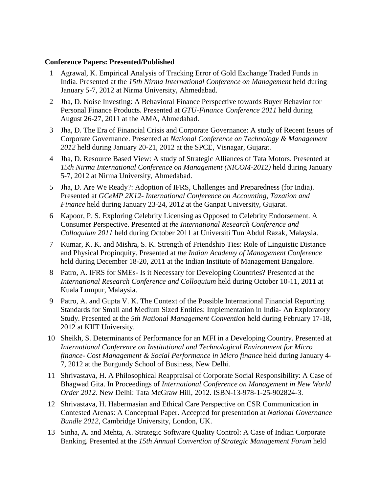# **Conference Papers: Presented/Published**

- 1 Agrawal, K. Empirical Analysis of Tracking Error of Gold Exchange Traded Funds in India. Presented at the *15th Nirma International Conference on Management* held during January 5-7, 2012 at Nirma University, Ahmedabad.
- 2 Jha, D. Noise Investing: A Behavioral Finance Perspective towards Buyer Behavior for Personal Finance Products. Presented at *GTU-Finance Conference 2011* held during August 26-27, 2011 at the AMA, Ahmedabad.
- 3 Jha, D. The Era of Financial Crisis and Corporate Governance: A study of Recent Issues of Corporate Governance. Presented at *National Conference on Technology & Management 2012* held during January 20-21, 2012 at the SPCE, Visnagar, Gujarat.
- 4 Jha, D. Resource Based View: A study of Strategic Alliances of Tata Motors. Presented at *15th Nirma International Conference on Management (NICOM-2012)* held during January 5-7, 2012 at Nirma University, Ahmedabad.
- 5 Jha, D. Are We Ready?: Adoption of IFRS, Challenges and Preparedness (for India). Presented at *GCeMP 2K12- International Conference on Accounting, Taxation and Finance* held during January 23-24, 2012 at the Ganpat University, Gujarat.
- 6 Kapoor, P. S. Exploring Celebrity Licensing as Opposed to Celebrity Endorsement. A Consumer Perspective. Presented at *the International Research Conference and Colloquium 2011* held during October 2011 at Universiti Tun Abdul Razak, Malaysia.
- 7 Kumar, K. K. and Mishra, S. K. Strength of Friendship Ties: Role of Linguistic Distance and Physical Propinquity. Presented at *the Indian Academy of Management Conference* held during December 18-20, 2011 at the Indian Institute of Management Bangalore.
- 8 Patro, A. IFRS for SMEs- Is it Necessary for Developing Countries? Presented at the *International Research Conference and Colloquium* held during October 10-11, 2011 at Kuala Lumpur, Malaysia.
- 9 Patro, A. and Gupta V. K. The Context of the Possible International Financial Reporting Standards for Small and Medium Sized Entities: Implementation in India- An Exploratory Study. Presented at the *5th National Management Convention* held during February 17-18, 2012 at KIIT University.
- 10 Sheikh, S. Determinants of Performance for an MFI in a Developing Country. Presented at *International Conference on Institutional and Technological Environment for Micro finance- Cost Management & Social Performance in Micro finance* held during January 4- 7, 2012 at the Burgundy School of Business, New Delhi.
- 11 Shrivastava, H. A Philosophical Reappraisal of Corporate Social Responsibility: A Case of Bhagwad Gita. In Proceedings of *International Conference on Management in New World Order 2012.* New Delhi: Tata McGraw Hill, 2012. ISBN-13-978-1-25-902824-3.
- 12 Shrivastava, H. Habermasian and Ethical Care Perspective on CSR Communication in Contested Arenas: A Conceptual Paper. Accepted for presentation at *National Governance Bundle 2012*, Cambridge University, London, UK.
- 13 Sinha, A. and Mehta, A. Strategic Software Quality Control: A Case of Indian Corporate Banking. Presented at the *15th Annual Convention of Strategic Management Forum* held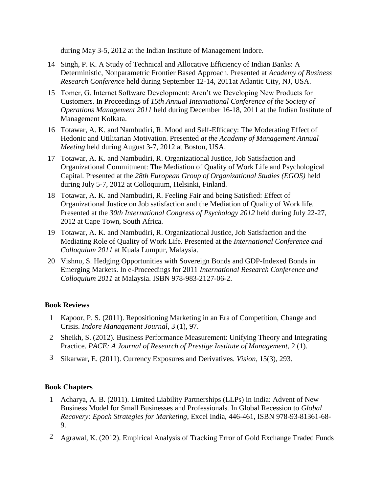during May 3-5, 2012 at the Indian Institute of Management Indore.

- 14 Singh, P. K. A Study of Technical and Allocative Efficiency of Indian Banks: A Deterministic, Nonparametric Frontier Based Approach. Presented at *Academy of Business Research Conference* held during September 12-14, 2011at Atlantic City, NJ, USA.
- 15 Tomer, G. Internet Software Development: Aren't we Developing New Products for Customers. In Proceedings of *15th Annual International Conference of the Society of Operations Management 2011* held during December 16-18, 2011 at the Indian Institute of Management Kolkata.
- 16 Totawar, A. K. and Nambudiri, R. Mood and Self-Efficacy: The Moderating Effect of Hedonic and Utilitarian Motivation. Presented *at the Academy of Management Annual Meeting* held during August 3-7, 2012 at Boston, USA.
- 17 Totawar, A. K. and Nambudiri, R. Organizational Justice, Job Satisfaction and Organizational Commitment: The Mediation of Quality of Work Life and Psychological Capital. Presented at the *28th European Group of Organizational Studies (EGOS)* held during July 5-7, 2012 at Colloquium, Helsinki, Finland.
- 18 Totawar, A. K. and Nambudiri, R. Feeling Fair and being Satisfied: Effect of Organizational Justice on Job satisfaction and the Mediation of Quality of Work life. Presented at the *30th International Congress of Psychology 2012* held during July 22-27, 2012 at Cape Town, South Africa.
- 19 Totawar, A. K. and Nambudiri, R. Organizational Justice, Job Satisfaction and the Mediating Role of Quality of Work Life. Presented at the *International Conference and Colloquium 2011* at Kuala Lumpur, Malaysia.
- 20 Vishnu, S. Hedging Opportunities with Sovereign Bonds and GDP-Indexed Bonds in Emerging Markets. In e-Proceedings for 2011 *International Research Conference and Colloquium 2011* at Malaysia. ISBN 978-983-2127-06-2.

### **Book Reviews**

- 1 Kapoor, P. S. (2011). Repositioning Marketing in an Era of Competition, Change and Crisis. *Indore Management Journal*, 3 (1), 97.
- 2 Sheikh, S. (2012). Business Performance Measurement: Unifying Theory and Integrating Practice. *PACE: A Journal of Research of Prestige Institute of Management*, 2 (1).
- 3 Sikarwar, E. (2011). Currency Exposures and Derivatives. *Vision*, 15(3), 293.

### **Book Chapters**

- 1 Acharya, A. B. (2011). Limited Liability Partnerships (LLPs) in India: Advent of New Business Model for Small Businesses and Professionals. In Global Recession to *Global Recovery: Epoch Strategies for Marketing*, Excel India, 446-461, ISBN 978-93-81361-68- 9.
- 2 Agrawal, K. (2012). Empirical Analysis of Tracking Error of Gold Exchange Traded Funds